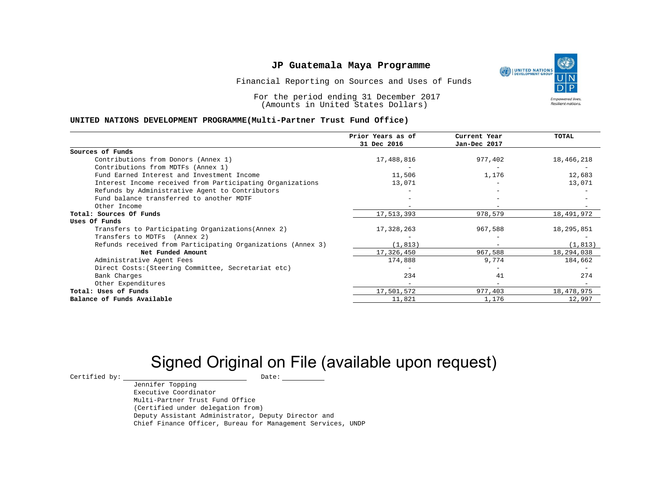Financial Reporting on Sources and Uses of Funds

For the period ending 31 December 2017 (Amounts in United States Dollars)

#### **UNITED NATIONS DEVELOPMENT PROGRAMME(Multi-Partner Trust Fund Office)**

|                                                             | Prior Years as of<br>31 Dec 2016 | Current Year<br>Jan-Dec 2017 | <b>TOTAL</b> |
|-------------------------------------------------------------|----------------------------------|------------------------------|--------------|
|                                                             |                                  |                              |              |
| Sources of Funds                                            |                                  |                              |              |
| Contributions from Donors (Annex 1)                         | 17,488,816                       | 977,402                      | 18,466,218   |
| Contributions from MDTFs (Annex 1)                          |                                  |                              |              |
| Fund Earned Interest and Investment Income                  | 11,506                           | 1,176                        | 12,683       |
| Interest Income received from Participating Organizations   | 13,071                           |                              | 13,071       |
| Refunds by Administrative Agent to Contributors             |                                  |                              |              |
| Fund balance transferred to another MDTF                    |                                  |                              |              |
| Other Income                                                |                                  | -                            |              |
| Total: Sources Of Funds                                     | 17,513,393                       | 978,579                      | 18,491,972   |
| Uses Of Funds                                               |                                  |                              |              |
| Transfers to Participating Organizations (Annex 2)          | 17,328,263                       | 967,588                      | 18,295,851   |
| Transfers to MDTFs (Annex 2)                                |                                  |                              |              |
| Refunds received from Participating Organizations (Annex 3) | (1, 813)                         | $-$                          | (1, 813)     |
| Net Funded Amount                                           | 17,326,450                       | 967,588                      | 18,294,038   |
| Administrative Agent Fees                                   | 174,888                          | 9,774                        | 184,662      |
| Direct Costs: (Steering Committee, Secretariat etc)         |                                  |                              |              |
| Bank Charges                                                | 234                              | 41                           | 274          |
| Other Expenditures                                          |                                  | $\overline{\phantom{0}}$     |              |
| Total: Uses of Funds                                        | 17,501,572                       | 977,403                      | 18,478,975   |
| Balance of Funds Available                                  | 11,821                           | 1,176                        | 12,997       |

# Signed Original on File (available upon request)

 $\begin{array}{cccc}\n\text{Certified by:}\quad\text{---}\quad\text{---}\quad\text{---}\quad\text{Date:}\quad\text{---}\quad\text{---}\quad\text{---}\quad\text{---}\quad\text{---}\quad\text{---}\quad\text{---}\quad\text{---}\quad\text{---}\quad\text{---}\quad\text{---}\quad\text{---}\quad\text{---}\quad\text{---}\quad\text{---}\quad\text{---}\quad\text{---}\quad\text{---}\quad\text{---}\quad\text{---}\quad\text{---}\quad\text{---}\quad\text{---}\quad\text{---}\quad\text{---}\quad\text{---}\quad\text{---}\quad\text{---}\quad\text{---}\quad\text{---$ 

Jennifer Topping Executive Coordinator Multi-Partner Trust Fund Office (Certified under delegation from) Deputy Assistant Administrator, Deputy Director and Chief Finance Officer, Bureau for Management Services, UNDP

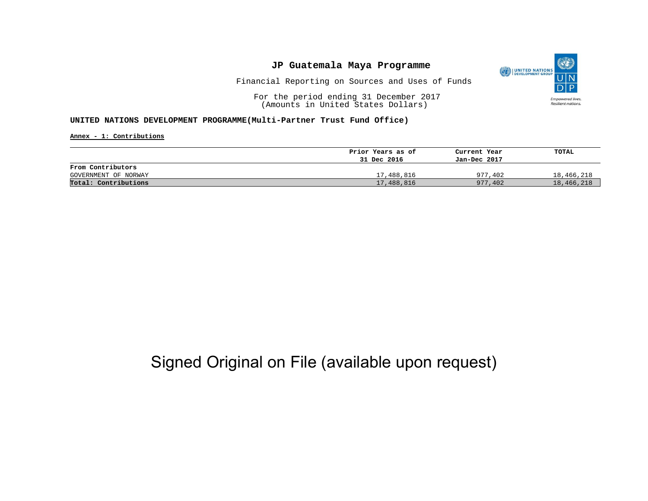

Financial Reporting on Sources and Uses of Funds

For the period ending 31 December 2017 (Amounts in United States Dollars)

#### **UNITED NATIONS DEVELOPMENT PROGRAMME(Multi-Partner Trust Fund Office)**

**Annex - 1: Contributions**

|                      | Prior Years as of | Current Year | TOTAL      |
|----------------------|-------------------|--------------|------------|
|                      | 31 Dec 2016       | Jan-Dec 2017 |            |
| From Contributors    |                   |              |            |
| GOVERNMENT OF NORWAY | 17,488,816        | 977,402      | 18,466,218 |
| Total: Contributions | 17,488,816        | 977,402      | 18,466,218 |

## Signed Original on File (available upon request)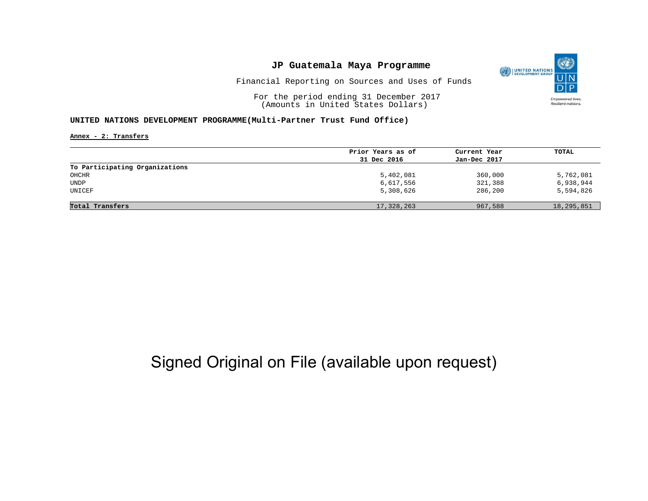

Financial Reporting on Sources and Uses of Funds

For the period ending 31 December 2017 (Amounts in United States Dollars)

#### **UNITED NATIONS DEVELOPMENT PROGRAMME(Multi-Partner Trust Fund Office)**

**Annex - 2: Transfers**

|                                | Prior Years as of | Current Year | TOTAL      |
|--------------------------------|-------------------|--------------|------------|
|                                | 31 Dec 2016       | Jan-Dec 2017 |            |
| To Participating Organizations |                   |              |            |
| OHCHR                          | 5,402,081         | 360,000      | 5,762,081  |
| <b>UNDP</b>                    | 6,617,556         | 321,388      | 6,938,944  |
| UNICEF                         | 5,308,626         | 286,200      | 5,594,826  |
| Total Transfers                | 17,328,263        | 967,588      | 18,295,851 |
|                                |                   |              |            |

## Signed Original on File (available upon request)